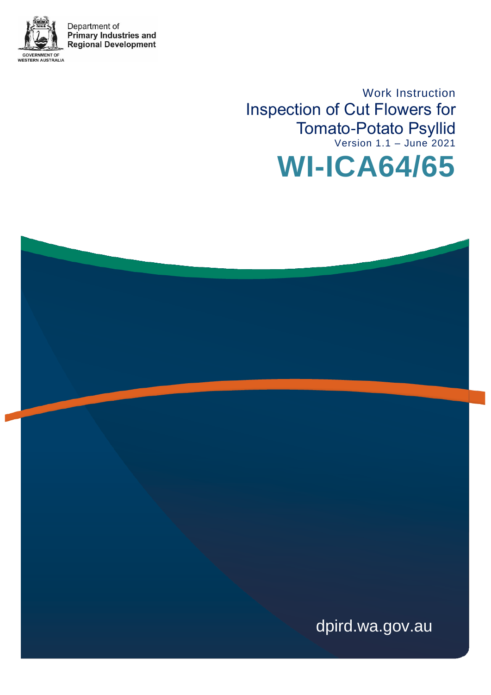

Department of **Primary Industries and Regional Development** 

> Work Instruction Inspection of Cut Flowers for Tomato-Potato Psyllid Version 1.1 – June 2021



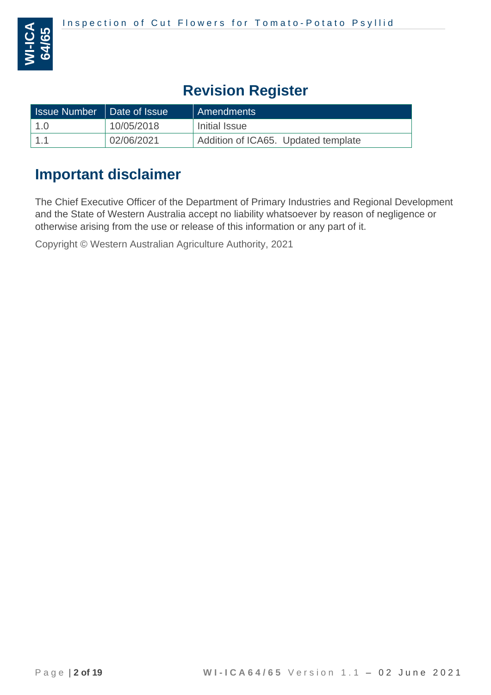

# **Revision Register**

| <b>Issue Number   Date of Issue</b> |            | <b>Amendments</b>                   |
|-------------------------------------|------------|-------------------------------------|
| 1.0                                 | 10/05/2018 | Initial Issue                       |
| 1 1                                 | 02/06/2021 | Addition of ICA65. Updated template |

# **Important disclaimer**

The Chief Executive Officer of the Department of Primary Industries and Regional Development and the State of Western Australia accept no liability whatsoever by reason of negligence or otherwise arising from the use or release of this information or any part of it.

Copyright © Western Australian Agriculture Authority, 2021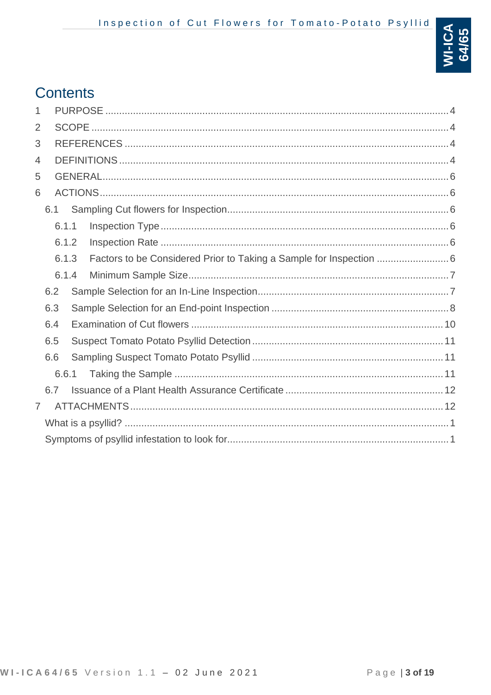

# **Contents**

| 1              |     |       |  |  |
|----------------|-----|-------|--|--|
| $\overline{2}$ |     |       |  |  |
| 3              |     |       |  |  |
| $\overline{4}$ |     |       |  |  |
| 5              |     |       |  |  |
| 6              |     |       |  |  |
|                | 6.1 |       |  |  |
|                |     | 6.1.1 |  |  |
|                |     | 6.1.2 |  |  |
|                |     | 6.1.3 |  |  |
|                |     | 6.1.4 |  |  |
|                | 6.2 |       |  |  |
|                | 6.3 |       |  |  |
|                | 6.4 |       |  |  |
|                | 6.5 |       |  |  |
|                | 6.6 |       |  |  |
|                |     | 6.6.1 |  |  |
|                | 6.7 |       |  |  |
| $\overline{7}$ |     |       |  |  |
|                |     |       |  |  |
|                |     |       |  |  |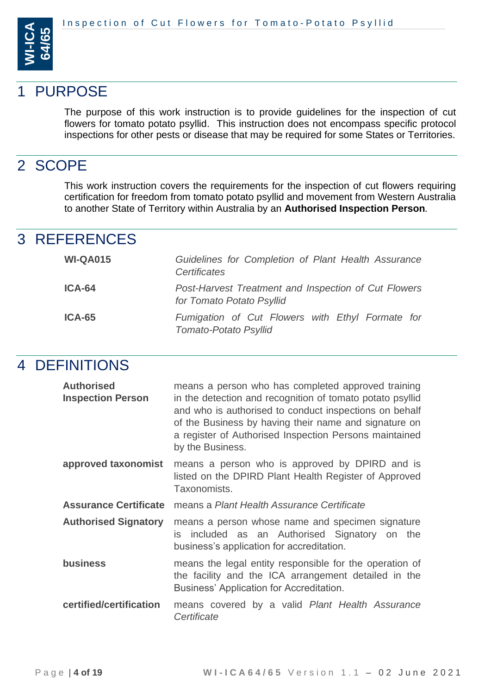

## <span id="page-3-0"></span>**PURPOSE**

The purpose of this work instruction is to provide guidelines for the inspection of cut flowers for tomato potato psyllid. This instruction does not encompass specific protocol inspections for other pests or disease that may be required for some States or Territories.

## <span id="page-3-1"></span>2 SCOPE

This work instruction covers the requirements for the inspection of cut flowers requiring certification for freedom from tomato potato psyllid and movement from Western Australia to another State of Territory within Australia by an **Authorised Inspection Person***.*

### <span id="page-3-2"></span>3 REFERENCES

| <b>WI-QA015</b> | Guidelines for Completion of Plant Health Assurance<br>Certificates               |
|-----------------|-----------------------------------------------------------------------------------|
| <b>ICA-64</b>   | Post-Harvest Treatment and Inspection of Cut Flowers<br>for Tomato Potato Psyllid |
| <b>ICA-65</b>   | Fumigation of Cut Flowers with Ethyl Formate for<br><b>Tomato-Potato Psyllid</b>  |

### <span id="page-3-3"></span>4 DEFINITIONS

| <b>Authorised</b><br><b>Inspection Person</b> | means a person who has completed approved training<br>in the detection and recognition of tomato potato psyllid<br>and who is authorised to conduct inspections on behalf<br>of the Business by having their name and signature on<br>a register of Authorised Inspection Persons maintained<br>by the Business. |
|-----------------------------------------------|------------------------------------------------------------------------------------------------------------------------------------------------------------------------------------------------------------------------------------------------------------------------------------------------------------------|
| approved taxonomist                           | means a person who is approved by DPIRD and is<br>listed on the DPIRD Plant Health Register of Approved<br>Taxonomists.                                                                                                                                                                                          |
| <b>Assurance Certificate</b>                  | means a Plant Health Assurance Certificate                                                                                                                                                                                                                                                                       |
| <b>Authorised Signatory</b>                   | means a person whose name and specimen signature<br>is included as an Authorised Signatory on the<br>business's application for accreditation.                                                                                                                                                                   |
| <b>business</b>                               | means the legal entity responsible for the operation of<br>the facility and the ICA arrangement detailed in the<br>Business' Application for Accreditation.                                                                                                                                                      |
| certified/certification                       | means covered by a valid Plant Health Assurance<br>Certificate                                                                                                                                                                                                                                                   |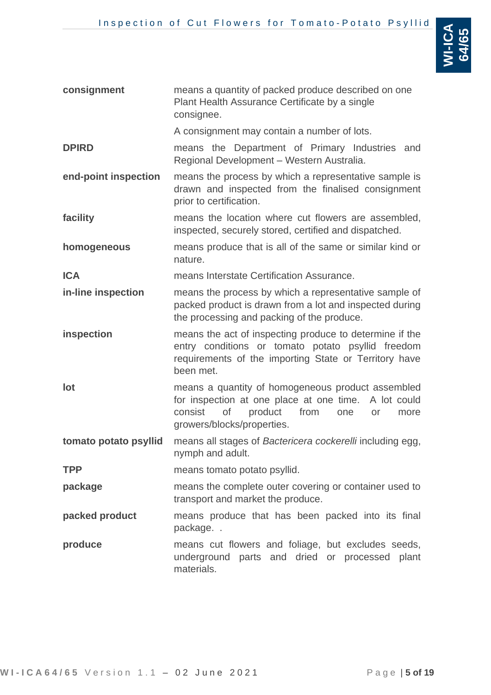

| consignment           | means a quantity of packed produce described on one<br>Plant Health Assurance Certificate by a single<br>consignee.                                                                                     |
|-----------------------|---------------------------------------------------------------------------------------------------------------------------------------------------------------------------------------------------------|
|                       | A consignment may contain a number of lots.                                                                                                                                                             |
| <b>DPIRD</b>          | means the Department of Primary Industries and<br>Regional Development - Western Australia.                                                                                                             |
| end-point inspection  | means the process by which a representative sample is<br>drawn and inspected from the finalised consignment<br>prior to certification.                                                                  |
| facility              | means the location where cut flowers are assembled,<br>inspected, securely stored, certified and dispatched.                                                                                            |
| homogeneous           | means produce that is all of the same or similar kind or<br>nature.                                                                                                                                     |
| <b>ICA</b>            | means Interstate Certification Assurance.                                                                                                                                                               |
| in-line inspection    | means the process by which a representative sample of<br>packed product is drawn from a lot and inspected during<br>the processing and packing of the produce.                                          |
| inspection            | means the act of inspecting produce to determine if the<br>entry conditions or tomato potato psyllid freedom<br>requirements of the importing State or Territory have<br>been met.                      |
| lot                   | means a quantity of homogeneous product assembled<br>for inspection at one place at one time. A lot could<br>consist<br><b>of</b><br>product<br>from<br>one<br>more<br>or<br>growers/blocks/properties. |
| tomato potato psyllid | means all stages of Bactericera cockerelli including egg,<br>nymph and adult.                                                                                                                           |
| <b>TPP</b>            | means tomato potato psyllid.                                                                                                                                                                            |
| package               | means the complete outer covering or container used to<br>transport and market the produce.                                                                                                             |
| packed product        | means produce that has been packed into its final<br>package                                                                                                                                            |
| produce               | means cut flowers and foliage, but excludes seeds,<br>underground parts and dried or processed<br>plant<br>materials.                                                                                   |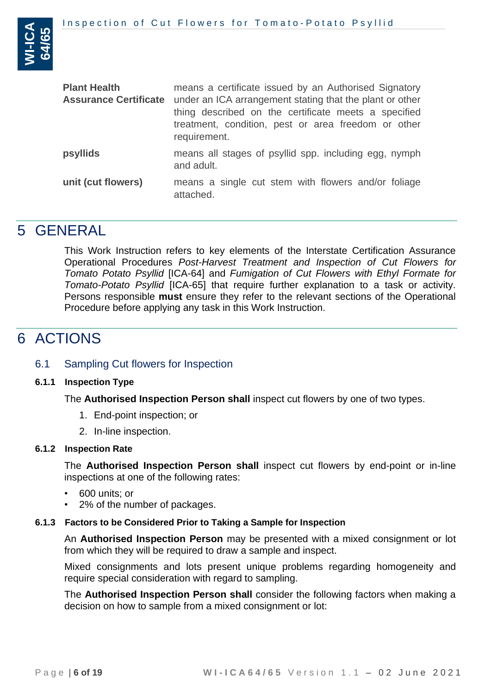

| <b>Plant Health</b><br><b>Assurance Certificate</b> | means a certificate issued by an Authorised Signatory<br>under an ICA arrangement stating that the plant or other<br>thing described on the certificate meets a specified<br>treatment, condition, pest or area freedom or other<br>requirement. |
|-----------------------------------------------------|--------------------------------------------------------------------------------------------------------------------------------------------------------------------------------------------------------------------------------------------------|
| psyllids                                            | means all stages of psyllid spp. including egg, nymph<br>and adult.                                                                                                                                                                              |
| unit (cut flowers)                                  | means a single cut stem with flowers and/or foliage<br>attached.                                                                                                                                                                                 |

## <span id="page-5-0"></span>5 GENERAL

This Work Instruction refers to key elements of the Interstate Certification Assurance Operational Procedures *Post-Harvest Treatment and Inspection of Cut Flowers for Tomato Potato Psyllid* [ICA-64] and *Fumigation of Cut Flowers with Ethyl Formate for Tomato-Potato Psyllid* [ICA-65] that require further explanation to a task or activity. Persons responsible **must** ensure they refer to the relevant sections of the Operational Procedure before applying any task in this Work Instruction.

# <span id="page-5-1"></span>6 ACTIONS

#### <span id="page-5-2"></span>6.1 Sampling Cut flowers for Inspection

#### <span id="page-5-3"></span>**6.1.1 Inspection Type**

The **Authorised Inspection Person shall** inspect cut flowers by one of two types.

- 1. End-point inspection; or
- 2. In-line inspection.

#### <span id="page-5-4"></span>**6.1.2 Inspection Rate**

The **Authorised Inspection Person shall** inspect cut flowers by end-point or in-line inspections at one of the following rates:

- 600 units; or
- 2% of the number of packages.

#### <span id="page-5-5"></span>**6.1.3 Factors to be Considered Prior to Taking a Sample for Inspection**

An **Authorised Inspection Person** may be presented with a mixed consignment or lot from which they will be required to draw a sample and inspect.

Mixed consignments and lots present unique problems regarding homogeneity and require special consideration with regard to sampling.

The **Authorised Inspection Person shall** consider the following factors when making a decision on how to sample from a mixed consignment or lot: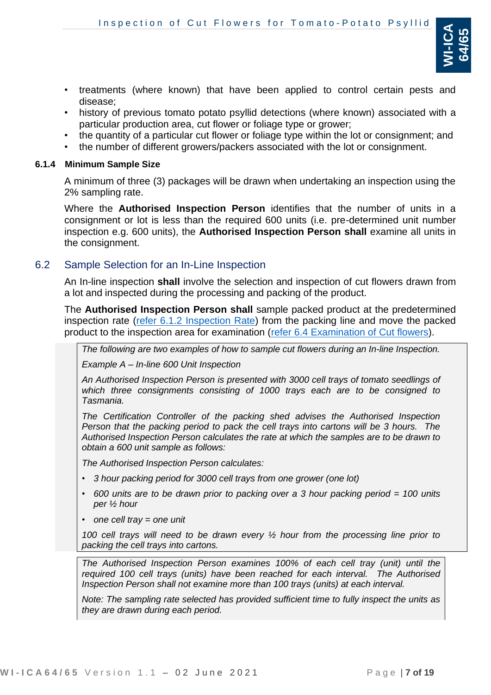

- treatments (where known) that have been applied to control certain pests and disease;
- history of previous tomato potato psyllid detections (where known) associated with a particular production area, cut flower or foliage type or grower;
- the quantity of a particular cut flower or foliage type within the lot or consignment; and
- the number of different growers/packers associated with the lot or consignment.

#### <span id="page-6-0"></span>**6.1.4 Minimum Sample Size**

A minimum of three (3) packages will be drawn when undertaking an inspection using the 2% sampling rate.

Where the **Authorised Inspection Person** identifies that the number of units in a consignment or lot is less than the required 600 units (i.e. pre-determined unit number inspection e.g. 600 units), the **Authorised Inspection Person shall** examine all units in the consignment.

#### <span id="page-6-1"></span>6.2 Sample Selection for an In-Line Inspection

An In-line inspection **shall** involve the selection and inspection of cut flowers drawn from a lot and inspected during the processing and packing of the product.

The **Authorised Inspection Person shall** sample packed product at the predetermined inspection rate [\(refer 6.1.2 Inspection Rate\)](#page-5-4) from the packing line and move the packed product to the inspection area for examination [\(refer 6.4 Examination of](#page-9-0) Cut flowers).

*The following are two examples of how to sample cut flowers during an In-line Inspection.*

*Example A – In-line 600 Unit Inspection*

*An Authorised Inspection Person is presented with 3000 cell trays of tomato seedlings of which three consignments consisting of 1000 trays each are to be consigned to Tasmania.* 

*The Certification Controller of the packing shed advises the Authorised Inspection Person that the packing period to pack the cell trays into cartons will be 3 hours. The Authorised Inspection Person calculates the rate at which the samples are to be drawn to obtain a 600 unit sample as follows:*

*The Authorised Inspection Person calculates:*

- *3 hour packing period for 3000 cell trays from one grower (one lot)*
- *600 units are to be drawn prior to packing over a 3 hour packing period = 100 units per ½ hour*
- *one cell tray = one unit*

*100 cell trays will need to be drawn every ½ hour from the processing line prior to packing the cell trays into cartons.* 

*The Authorised Inspection Person examines 100% of each cell tray (unit) until the required 100 cell trays (units) have been reached for each interval. The Authorised Inspection Person shall not examine more than 100 trays (units) at each interval.* 

*Note: The sampling rate selected has provided sufficient time to fully inspect the units as they are drawn during each period.*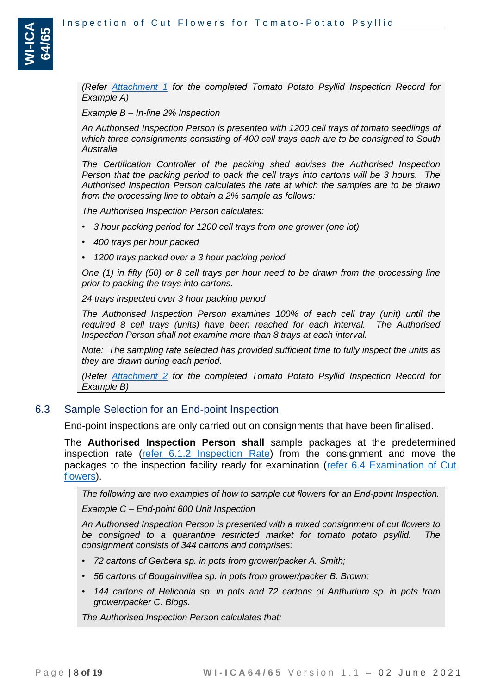*(Refer Attachment 1 for the completed Tomato Potato Psyllid Inspection Record for Example A)* 

*Example B – In-line 2% Inspection*

*An Authorised Inspection Person is presented with 1200 cell trays of tomato seedlings of which three consignments consisting of 400 cell trays each are to be consigned to South Australia.* 

*The Certification Controller of the packing shed advises the Authorised Inspection Person that the packing period to pack the cell trays into cartons will be 3 hours. The Authorised Inspection Person calculates the rate at which the samples are to be drawn from the processing line to obtain a 2% sample as follows:*

*The Authorised Inspection Person calculates:*

- *3 hour packing period for 1200 cell trays from one grower (one lot)*
- *400 trays per hour packed*
- *1200 trays packed over a 3 hour packing period*

*One (1) in fifty (50) or 8 cell trays per hour need to be drawn from the processing line prior to packing the trays into cartons.*

*24 trays inspected over 3 hour packing period*

*The Authorised Inspection Person examines 100% of each cell tray (unit) until the required 8 cell trays (units) have been reached for each interval. The Authorised Inspection Person shall not examine more than 8 trays at each interval.* 

*Note: The sampling rate selected has provided sufficient time to fully inspect the units as they are drawn during each period.*

*(Refer [Attachment 2](#page-13-0) for the completed Tomato Potato Psyllid Inspection Record for Example B)* 

#### <span id="page-7-0"></span>6.3 Sample Selection for an End-point Inspection

End-point inspections are only carried out on consignments that have been finalised.

The **Authorised Inspection Person shall** sample packages at the predetermined inspection rate [\(refer 6.1.2 Inspection Rate\)](#page-5-4) from the consignment and move the packages to the inspection facility ready for examination [\(refer 6.4 Examination of Cut](#page-9-0)  [flowers\)](#page-9-0).

*The following are two examples of how to sample cut flowers for an End-point Inspection.*

*Example C – End-point 600 Unit Inspection*

*An Authorised Inspection Person is presented with a mixed consignment of cut flowers to be consigned to a quarantine restricted market for tomato potato psyllid. The consignment consists of 344 cartons and comprises:*

- *72 cartons of Gerbera sp. in pots from grower/packer A. Smith;*
- *56 cartons of Bougainvillea sp. in pots from grower/packer B. Brown;*
- *144 cartons of Heliconia sp. in pots and 72 cartons of Anthurium sp. in pots from grower/packer C. Blogs.*

*The Authorised Inspection Person calculates that:*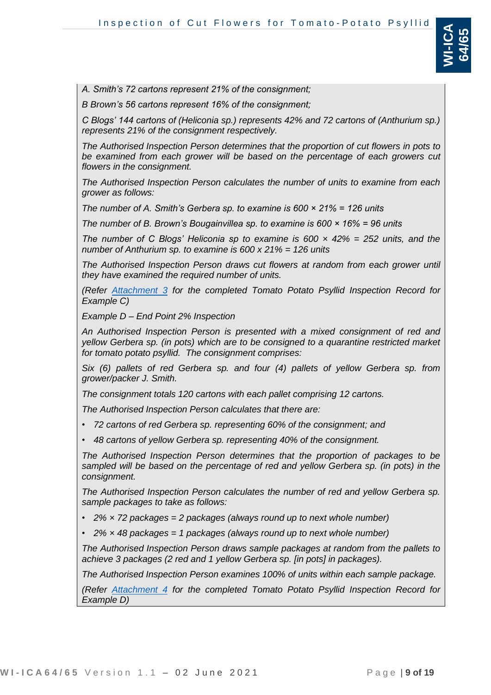

*A. Smith's 72 cartons represent 21% of the consignment;* 

*B Brown's 56 cartons represent 16% of the consignment;*

*C Blogs' 144 cartons of (Heliconia sp.) represents 42% and 72 cartons of (Anthurium sp.) represents 21% of the consignment respectively.*

*The Authorised Inspection Person determines that the proportion of cut flowers in pots to be examined from each grower will be based on the percentage of each growers cut flowers in the consignment.*

*The Authorised Inspection Person calculates the number of units to examine from each grower as follows:*

*The number of A. Smith's Gerbera sp. to examine is 600 × 21% = 126 units*

*The number of B. Brown's Bougainvillea sp. to examine is 600 × 16% = 96 units*

*The number of C Blogs' Heliconia sp to examine is 600 × 42% = 252 units, and the number of Anthurium sp. to examine is 600 x 21% = 126 units*

*The Authorised Inspection Person draws cut flowers at random from each grower until they have examined the required number of units.*

*(Refer [Attachment 3](#page-14-0) for the completed Tomato Potato Psyllid Inspection Record for Example C)* 

*Example D – End Point 2% Inspection*

*An Authorised Inspection Person is presented with a mixed consignment of red and yellow Gerbera sp. (in pots) which are to be consigned to a quarantine restricted market for tomato potato psyllid. The consignment comprises:*

*Six (6) pallets of red Gerbera sp. and four (4) pallets of yellow Gerbera sp. from grower/packer J. Smith.*

*The consignment totals 120 cartons with each pallet comprising 12 cartons.*

*The Authorised Inspection Person calculates that there are:*

- *72 cartons of red Gerbera sp. representing 60% of the consignment; and*
- *48 cartons of yellow Gerbera sp. representing 40% of the consignment.*

*The Authorised Inspection Person determines that the proportion of packages to be sampled will be based on the percentage of red and yellow Gerbera sp. (in pots) in the consignment.*

*The Authorised Inspection Person calculates the number of red and yellow Gerbera sp. sample packages to take as follows:*

- *2% × 72 packages = 2 packages (always round up to next whole number)*
- *2% × 48 packages = 1 packages (always round up to next whole number)*

*The Authorised Inspection Person draws sample packages at random from the pallets to achieve 3 packages (2 red and 1 yellow Gerbera sp. [in pots] in packages).* 

*The Authorised Inspection Person examines 100% of units within each sample package.*

*(Refer [Attachment 4](#page-14-1) for the completed Tomato Potato Psyllid Inspection Record for Example D)*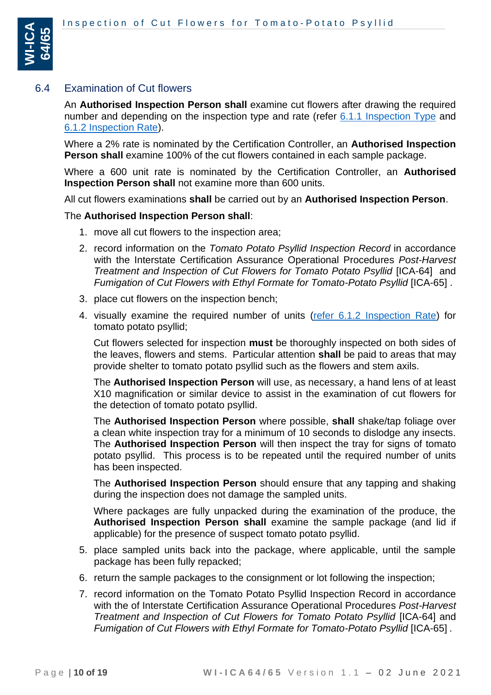

#### <span id="page-9-0"></span>6.4 Examination of Cut flowers

An **Authorised Inspection Person shall** examine cut flowers after drawing the required number and depending on the inspection type and rate (refer [6.1.1 Inspection Type](#page-5-3) and [6.1.2 Inspection Rate\)](#page-5-4).

Where a 2% rate is nominated by the Certification Controller, an **Authorised Inspection Person shall** examine 100% of the cut flowers contained in each sample package.

Where a 600 unit rate is nominated by the Certification Controller, an **Authorised Inspection Person shall** not examine more than 600 units.

All cut flowers examinations **shall** be carried out by an **Authorised Inspection Person**.

#### The **Authorised Inspection Person shall**:

- 1. move all cut flowers to the inspection area;
- 2. record information on the *Tomato Potato Psyllid Inspection Record* in accordance with the Interstate Certification Assurance Operational Procedures *Post-Harvest Treatment and Inspection of Cut Flowers for Tomato Potato Psyllid* [ICA-64] and *Fumigation of Cut Flowers with Ethyl Formate for Tomato-Potato Psyllid* [ICA-65] .
- 3. place cut flowers on the inspection bench;
- 4. visually examine the required number of units [\(refer 6.1.2 Inspection Rate\)](#page-5-4) for tomato potato psyllid;

Cut flowers selected for inspection **must** be thoroughly inspected on both sides of the leaves, flowers and stems. Particular attention **shall** be paid to areas that may provide shelter to tomato potato psyllid such as the flowers and stem axils.

The **Authorised Inspection Person** will use, as necessary, a hand lens of at least X10 magnification or similar device to assist in the examination of cut flowers for the detection of tomato potato psyllid.

The **Authorised Inspection Person** where possible, **shall** shake/tap foliage over a clean white inspection tray for a minimum of 10 seconds to dislodge any insects. The **Authorised Inspection Person** will then inspect the tray for signs of tomato potato psyllid. This process is to be repeated until the required number of units has been inspected.

The **Authorised Inspection Person** should ensure that any tapping and shaking during the inspection does not damage the sampled units.

Where packages are fully unpacked during the examination of the produce, the **Authorised Inspection Person shall** examine the sample package (and lid if applicable) for the presence of suspect tomato potato psyllid.

- 5. place sampled units back into the package, where applicable, until the sample package has been fully repacked;
- 6. return the sample packages to the consignment or lot following the inspection;
- 7. record information on the Tomato Potato Psyllid Inspection Record in accordance with the of Interstate Certification Assurance Operational Procedures *Post-Harvest Treatment and Inspection of Cut Flowers for Tomato Potato Psyllid* [ICA-64] and *Fumigation of Cut Flowers with Ethyl Formate for Tomato-Potato Psyllid* [ICA-65] *.*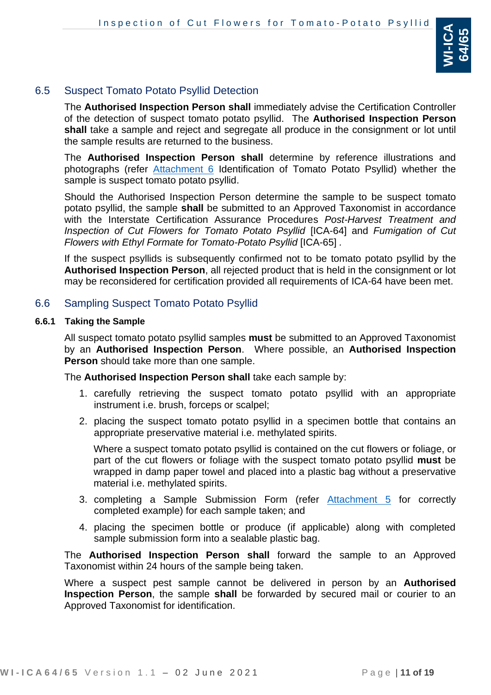

### <span id="page-10-0"></span>6.5 Suspect Tomato Potato Psyllid Detection

The **Authorised Inspection Person shall** immediately advise the Certification Controller of the detection of suspect tomato potato psyllid. The **Authorised Inspection Person shall** take a sample and reject and segregate all produce in the consignment or lot until the sample results are returned to the business.

The **Authorised Inspection Person shall** determine by reference illustrations and photographs (refer Attachment 6 Identification of Tomato Potato Psyllid) whether the sample is suspect tomato potato psyllid.

Should the Authorised Inspection Person determine the sample to be suspect tomato potato psyllid, the sample **shall** be submitted to an Approved Taxonomist in accordance with the Interstate Certification Assurance Procedures *Post-Harvest Treatment and Inspection of Cut Flowers for Tomato Potato Psyllid* [ICA-64] and *Fumigation of Cut Flowers with Ethyl Formate for Tomato-Potato Psyllid* [ICA-65] *.*

If the suspect psyllids is subsequently confirmed not to be tomato potato psyllid by the **Authorised Inspection Person**, all rejected product that is held in the consignment or lot may be reconsidered for certification provided all requirements of ICA-64 have been met.

#### <span id="page-10-1"></span>6.6 Sampling Suspect Tomato Potato Psyllid

#### <span id="page-10-2"></span>**6.6.1 Taking the Sample**

All suspect tomato potato psyllid samples **must** be submitted to an Approved Taxonomist by an **Authorised Inspection Person**. Where possible, an **Authorised Inspection Person** should take more than one sample.

The **Authorised Inspection Person shall** take each sample by:

- 1. carefully retrieving the suspect tomato potato psyllid with an appropriate instrument i.e. brush, forceps or scalpel;
- 2. placing the suspect tomato potato psyllid in a specimen bottle that contains an appropriate preservative material i.e. methylated spirits.

Where a suspect tomato potato psyllid is contained on the cut flowers or foliage, or part of the cut flowers or foliage with the suspect tomato potato psyllid **must** be wrapped in damp paper towel and placed into a plastic bag without a preservative material i.e. methylated spirits.

- 3. completing a Sample Submission Form (refer [Attachment 5](#page-16-0) for correctly completed example) for each sample taken; and
- 4. placing the specimen bottle or produce (if applicable) along with completed sample submission form into a sealable plastic bag.

The **Authorised Inspection Person shall** forward the sample to an Approved Taxonomist within 24 hours of the sample being taken.

Where a suspect pest sample cannot be delivered in person by an **Authorised Inspection Person**, the sample **shall** be forwarded by secured mail or courier to an Approved Taxonomist for identification.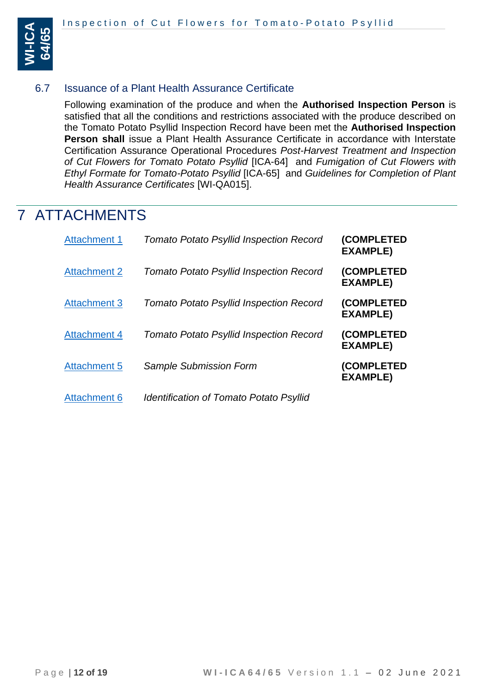

#### <span id="page-11-0"></span>6.7 Issuance of a Plant Health Assurance Certificate

Following examination of the produce and when the **Authorised Inspection Person** is satisfied that all the conditions and restrictions associated with the produce described on the Tomato Potato Psyllid Inspection Record have been met the **Authorised Inspection Person shall** issue a Plant Health Assurance Certificate in accordance with Interstate Certification Assurance Operational Procedures *Post-Harvest Treatment and Inspection of Cut Flowers for Tomato Potato Psyllid* [ICA-64] and *Fumigation of Cut Flowers with Ethyl Formate for Tomato-Potato Psyllid* [ICA-65] and *Guidelines for Completion of Plant Health Assurance Certificates* [WI-QA015].

# <span id="page-11-1"></span>7 ATTACHMENTS

| <b>Attachment 1</b> | <b>Tomato Potato Psyllid Inspection Record</b> | (COMPLETED<br><b>EXAMPLE)</b>        |
|---------------------|------------------------------------------------|--------------------------------------|
| <b>Attachment 2</b> | <b>Tomato Potato Psyllid Inspection Record</b> | <b>(COMPLETED</b><br><b>EXAMPLE)</b> |
| <b>Attachment 3</b> | <b>Tomato Potato Psyllid Inspection Record</b> | (COMPLETED<br><b>EXAMPLE)</b>        |
| <b>Attachment 4</b> | <b>Tomato Potato Psyllid Inspection Record</b> | <b>(COMPLETED</b><br><b>EXAMPLE)</b> |
| <b>Attachment 5</b> | <b>Sample Submission Form</b>                  | (COMPLETED<br><b>EXAMPLE)</b>        |
| <b>Attachment 6</b> | <b>Identification of Tomato Potato Psyllid</b> |                                      |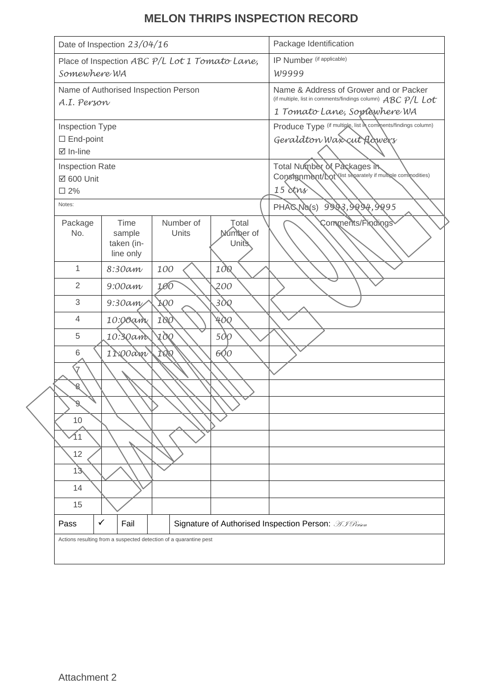|                                                            | Date of Inspection 23/04/16               |                                                |                                           | Package Identification                                                                                                               |
|------------------------------------------------------------|-------------------------------------------|------------------------------------------------|-------------------------------------------|--------------------------------------------------------------------------------------------------------------------------------------|
| Somewhere WA                                               |                                           | Place of Inspection ABC P/L Lot 1 Tomato Lane, |                                           | IP Number (if applicable)<br>W9999                                                                                                   |
| A.I. Person                                                | Name of Authorised Inspection Person      |                                                |                                           | Name & Address of Grower and or Packer<br>(if multiple, list in comments/findings column) ABC P/L Lot<br>1 Tomato Lane, Somewhere WA |
| Inspection Type<br>$\square$ End-point<br><b>Ø</b> In-line |                                           |                                                |                                           | Produce Type (if multiple, list in comments/findings column)<br>Geraldton Wascut Adwers                                              |
| Inspection Rate<br>☑ 600 Unit<br>$\square$ 2%              |                                           |                                                |                                           | Total Number of Packages in<br>Consignment/Lot Vist separately if multiple commodities)<br>$15 \text{}$                              |
| Notes:                                                     |                                           |                                                |                                           | PHAGNO(s) 9993,9994,9995                                                                                                             |
| Package<br>No.                                             | Time<br>sample<br>taken (in-<br>line only | Number of<br>Units                             | Total<br><b>Mumber</b> of<br><b>Units</b> | Comments/Findings                                                                                                                    |
| 1                                                          | 8:30am                                    | 100                                            | 100                                       |                                                                                                                                      |
| 2                                                          | $9:00$ am                                 | 100                                            | 200                                       |                                                                                                                                      |
| 3                                                          | $9:30$ am                                 | $\lambda$ 00                                   | 30Q                                       |                                                                                                                                      |
| 4                                                          | 10:00am                                   | 100                                            | 400                                       |                                                                                                                                      |
| 5                                                          | 10:30 am                                  | 190                                            | 500                                       |                                                                                                                                      |
| 6                                                          | $1\,$ $\sim$ $0$ $\alpha$ $\approx$       | JQQ                                            | 600                                       |                                                                                                                                      |
| 7<br>8                                                     |                                           |                                                |                                           |                                                                                                                                      |
|                                                            |                                           |                                                |                                           |                                                                                                                                      |
| 10<br>11                                                   |                                           |                                                |                                           |                                                                                                                                      |
| 12                                                         |                                           |                                                |                                           |                                                                                                                                      |
| 1 <sup>3</sup><br>14                                       |                                           |                                                |                                           |                                                                                                                                      |
| 15                                                         |                                           |                                                |                                           |                                                                                                                                      |
| $\checkmark$<br>Pass                                       | Fail                                      |                                                |                                           | Signature of Authorised Inspection Person: AJ Person                                                                                 |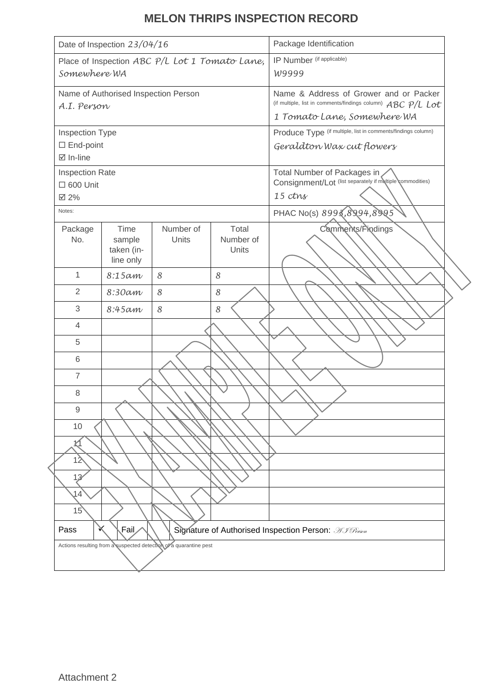<span id="page-13-0"></span>

|                                                                   | Date of Inspection 23/04/16               |                                                                   |                             | Package Identification                                                                                                                     |
|-------------------------------------------------------------------|-------------------------------------------|-------------------------------------------------------------------|-----------------------------|--------------------------------------------------------------------------------------------------------------------------------------------|
| Somewhere WA                                                      |                                           | Place of Inspection ABC $P/L$ Lot 1 Tomato Lane,                  |                             | IP Number (if applicable)<br>W9999                                                                                                         |
| A.I. Person                                                       | Name of Authorised Inspection Person      |                                                                   |                             | Name & Address of Grower and or Packer<br>(if multiple, list in comments/findings column) $ABC$ $P/L$ $Lot$<br>1 Tomato Lane, Somewhere WA |
| <b>Inspection Type</b><br>$\square$ End-point<br><b>Ø</b> In-line |                                           |                                                                   |                             | Produce Type (if multiple, list in comments/findings column)<br>Geraldton Wax cut flowers                                                  |
| <b>Inspection Rate</b><br>$\Box$ 600 Unit<br>☑ 2%                 |                                           |                                                                   |                             | Total Number of Packages in<br>Consignment/Lot (list separately if multiple commodities)<br>15 ctns                                        |
| Notes:                                                            |                                           |                                                                   |                             | PHAC No(s) 8993, 8994, 8995                                                                                                                |
| Package<br>No.                                                    | Time<br>sample<br>taken (in-<br>line only | Number of<br>Units                                                | Total<br>Number of<br>Units | Comments/Findings                                                                                                                          |
| 1                                                                 | 8:15am                                    | 8                                                                 | $\boldsymbol{8}$            |                                                                                                                                            |
| $\overline{2}$                                                    | 8:30am                                    | 8                                                                 | $\boldsymbol{8}$            |                                                                                                                                            |
| 3<br>$\overline{4}$                                               | 8:45 am                                   | 8                                                                 | $\boldsymbol{8}$            |                                                                                                                                            |
| 5                                                                 |                                           |                                                                   |                             |                                                                                                                                            |
| $\,6$                                                             |                                           |                                                                   |                             |                                                                                                                                            |
| $\overline{7}$                                                    |                                           |                                                                   |                             |                                                                                                                                            |
| $\,8\,$                                                           |                                           |                                                                   |                             |                                                                                                                                            |
| 9                                                                 |                                           |                                                                   |                             |                                                                                                                                            |
| 10                                                                |                                           |                                                                   |                             |                                                                                                                                            |
| 加                                                                 |                                           |                                                                   |                             |                                                                                                                                            |
| 12<br>1 <sub>3</sub>                                              |                                           |                                                                   |                             |                                                                                                                                            |
| 14                                                                |                                           |                                                                   |                             |                                                                                                                                            |
| 15<br>Pass                                                        | Fail                                      |                                                                   |                             | Signature of Authorised Inspection Person: 31 Ferson                                                                                       |
|                                                                   |                                           | Actions resulting from a suspected detection of a quarantine pest |                             |                                                                                                                                            |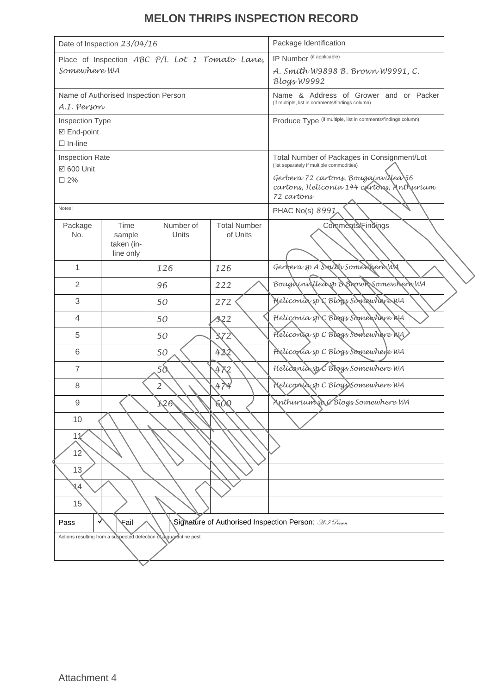<span id="page-14-1"></span><span id="page-14-0"></span>

| IP Number (if applicable)<br>Place of Inspection ABC $P/L$ Lot 1 Tomato Lane,<br>Somewhere WA<br>A. Smith W9898 B. Brown W9991, C.<br>Blogs W9992<br>Name of Authorised Inspection Person<br>Name & Address of Grower and or Packer<br>(if multiple, list in comments/findings column)<br>A.I. Person<br>Produce Type (if multiple, list in comments/findings column)<br>Inspection Type<br>☑ End-point<br>$\Box$ In-line<br>Total Number of Packages in Consignment/Lot<br><b>Inspection Rate</b><br>(list separately if multiple commodities)<br>☑ 600 Unit<br>Gerbera 72 cartons, Bougainvillea 56<br>$\square$ 2% |
|-----------------------------------------------------------------------------------------------------------------------------------------------------------------------------------------------------------------------------------------------------------------------------------------------------------------------------------------------------------------------------------------------------------------------------------------------------------------------------------------------------------------------------------------------------------------------------------------------------------------------|
|                                                                                                                                                                                                                                                                                                                                                                                                                                                                                                                                                                                                                       |
|                                                                                                                                                                                                                                                                                                                                                                                                                                                                                                                                                                                                                       |
|                                                                                                                                                                                                                                                                                                                                                                                                                                                                                                                                                                                                                       |
|                                                                                                                                                                                                                                                                                                                                                                                                                                                                                                                                                                                                                       |
|                                                                                                                                                                                                                                                                                                                                                                                                                                                                                                                                                                                                                       |
|                                                                                                                                                                                                                                                                                                                                                                                                                                                                                                                                                                                                                       |
|                                                                                                                                                                                                                                                                                                                                                                                                                                                                                                                                                                                                                       |
| cartons, Helíconía 144 cartons, Anthuríum<br>72 cartons                                                                                                                                                                                                                                                                                                                                                                                                                                                                                                                                                               |
| Notes:                                                                                                                                                                                                                                                                                                                                                                                                                                                                                                                                                                                                                |
| PHAC No(s) 8991                                                                                                                                                                                                                                                                                                                                                                                                                                                                                                                                                                                                       |
| Comments Findings<br>Time<br>Number of<br><b>Total Number</b><br>Package<br>Units<br>of Units<br>No.<br>sample                                                                                                                                                                                                                                                                                                                                                                                                                                                                                                        |
| taken (in-<br>line only                                                                                                                                                                                                                                                                                                                                                                                                                                                                                                                                                                                               |
| Gerbera sp A Smith Somewhere WA<br>1<br>126<br>126                                                                                                                                                                                                                                                                                                                                                                                                                                                                                                                                                                    |
| Bougainvilleasp BBrown somewhere WA<br>$\overline{2}$<br>96<br>222                                                                                                                                                                                                                                                                                                                                                                                                                                                                                                                                                    |
| 3<br>Heliconia sp & Blogs Somewhere WA<br>50<br>272                                                                                                                                                                                                                                                                                                                                                                                                                                                                                                                                                                   |
| Helíconía sp & Blogs Somewhere WA<br>4<br>50<br>322                                                                                                                                                                                                                                                                                                                                                                                                                                                                                                                                                                   |
| Heliconia sp C Blogs Somewhere WA<br>5<br>50<br>372                                                                                                                                                                                                                                                                                                                                                                                                                                                                                                                                                                   |
| Helícoria sp C Blogs Somewhere WA<br>6<br>422<br>50                                                                                                                                                                                                                                                                                                                                                                                                                                                                                                                                                                   |
| Heliconia spc Blogs Somewhere WA<br>$\overline{7}$<br>5Ò<br>472                                                                                                                                                                                                                                                                                                                                                                                                                                                                                                                                                       |
| Heliconia sp C Blogs Somewhere WA<br>8<br>$\overline{2}$<br>474                                                                                                                                                                                                                                                                                                                                                                                                                                                                                                                                                       |
| Anthurium pl Blogs Somewhere WA<br>9<br>26                                                                                                                                                                                                                                                                                                                                                                                                                                                                                                                                                                            |
| 10                                                                                                                                                                                                                                                                                                                                                                                                                                                                                                                                                                                                                    |
| 11                                                                                                                                                                                                                                                                                                                                                                                                                                                                                                                                                                                                                    |
| 12                                                                                                                                                                                                                                                                                                                                                                                                                                                                                                                                                                                                                    |
| 13                                                                                                                                                                                                                                                                                                                                                                                                                                                                                                                                                                                                                    |
| 14                                                                                                                                                                                                                                                                                                                                                                                                                                                                                                                                                                                                                    |
| 15                                                                                                                                                                                                                                                                                                                                                                                                                                                                                                                                                                                                                    |
| ∉ail<br>Signature of Authorised Inspection Person: 800 Person<br>Pass                                                                                                                                                                                                                                                                                                                                                                                                                                                                                                                                                 |
| Actions resulting from a suspected detection of a quarantine pest                                                                                                                                                                                                                                                                                                                                                                                                                                                                                                                                                     |
|                                                                                                                                                                                                                                                                                                                                                                                                                                                                                                                                                                                                                       |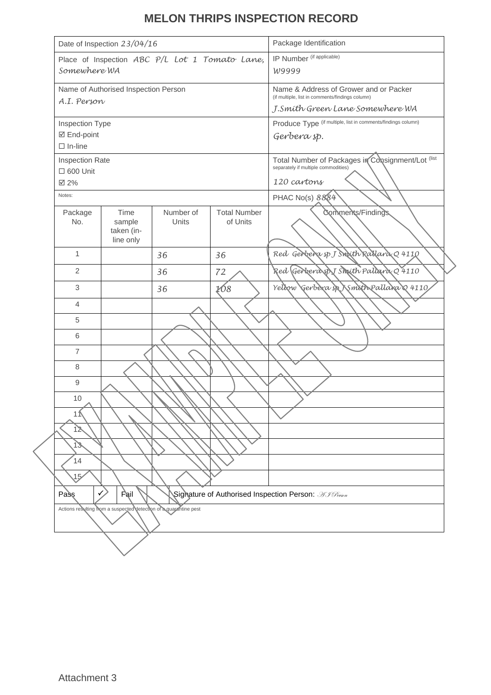|                                       | Date of Inspection 23/04/16                                      |                                                |                     | Package Identification                                                                    |
|---------------------------------------|------------------------------------------------------------------|------------------------------------------------|---------------------|-------------------------------------------------------------------------------------------|
| Somewhere WA                          |                                                                  | Place of Inspection ABC P/L Lot 1 Tomato Lane, |                     | IP Number (if applicable)<br>W9999                                                        |
| A.I. Person                           | Name of Authorised Inspection Person                             |                                                |                     | Name & Address of Grower and or Packer<br>(if multiple, list in comments/findings column) |
|                                       |                                                                  |                                                |                     | J. Smith Green Lane Somewhere WA                                                          |
| Inspection Type                       |                                                                  |                                                |                     | Produce Type (if multiple, list in comments/findings column)                              |
| ☑ End-point                           |                                                                  |                                                |                     | Gerbera sp.                                                                               |
| $\Box$ In-line                        |                                                                  |                                                |                     | Total Number of Packages in Consignment/Lot (list                                         |
| Inspection Rate<br>$\square$ 600 Unit |                                                                  |                                                |                     | separately if multiple commodities)                                                       |
| ☑ 2%                                  |                                                                  |                                                |                     | 120 cartons                                                                               |
| Notes:                                |                                                                  |                                                |                     | PHAC No(s) 8884                                                                           |
| Package                               | Time                                                             | Number of                                      | <b>Total Number</b> | Comments/Findings                                                                         |
| No.                                   | sample<br>taken (in-                                             | Units                                          | of Units            |                                                                                           |
|                                       | line only                                                        |                                                |                     |                                                                                           |
| $\mathbf{1}$                          |                                                                  | 36                                             | 36                  | Red Gerbera sp J Snoith Rablard Q 4110                                                    |
| $\overline{2}$                        |                                                                  | 36                                             | 72                  | Red Genberd sp) Smith Pallard Q 4110                                                      |
| 3                                     |                                                                  | 36                                             | 168                 | Gerbera sp Smoth Pallara & 4110<br>Yellow                                                 |
| $\overline{4}$                        |                                                                  |                                                |                     |                                                                                           |
| 5                                     |                                                                  |                                                |                     |                                                                                           |
| 6                                     |                                                                  |                                                |                     |                                                                                           |
| $\overline{7}$                        |                                                                  |                                                |                     |                                                                                           |
| $\,8\,$                               |                                                                  |                                                |                     |                                                                                           |
| 9                                     |                                                                  |                                                |                     |                                                                                           |
| 10                                    |                                                                  |                                                |                     |                                                                                           |
| 1 ለ                                   |                                                                  |                                                |                     |                                                                                           |
| $12^{\circ}$                          |                                                                  |                                                |                     |                                                                                           |
| 13                                    |                                                                  |                                                |                     |                                                                                           |
| 14                                    |                                                                  |                                                |                     |                                                                                           |
| 15                                    |                                                                  |                                                |                     |                                                                                           |
| Pass                                  | Fail                                                             |                                                |                     | Signature of Authorised Inspection Person: AIPerson                                       |
|                                       | Actions resulting hom a suspected detection of a quarantine pest |                                                |                     |                                                                                           |
|                                       |                                                                  |                                                |                     |                                                                                           |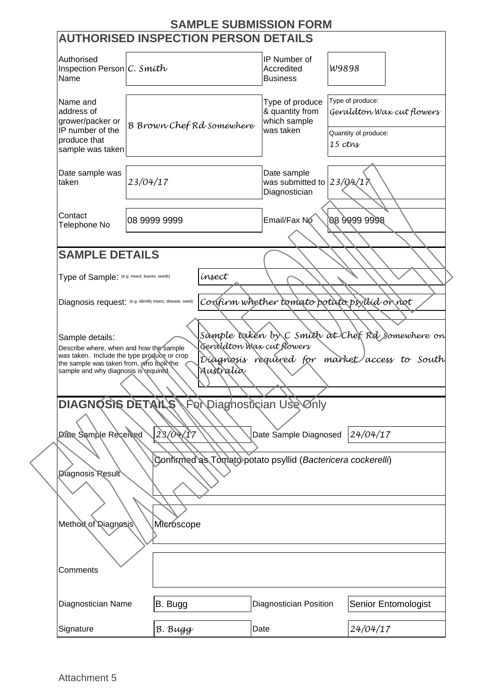<span id="page-16-0"></span>

| Authorised<br>Inspection Person C. Smith<br>Name                                                                                |                                                             | IP Number of<br>Accredited<br><b>Business</b>                   | W9898                                                                                       |
|---------------------------------------------------------------------------------------------------------------------------------|-------------------------------------------------------------|-----------------------------------------------------------------|---------------------------------------------------------------------------------------------|
| Name and<br>address of<br>grower/packer or<br>IP number of the<br>produce that<br>sample was taken                              | <b>B</b> Brown Chef Rd Somewhere                            | Type of produce<br>& quantity from<br>which sample<br>was taken | Type of produce:<br>Geraldton Wax cut flowers<br>Quantity of produce:<br>$15 \text{ c}$ tns |
| Date sample was<br>taken                                                                                                        | 23/04/17                                                    | Date sample<br>was submitted to<br>Diagnostician                | 23/04/17                                                                                    |
| Contact<br>Telephone No                                                                                                         | 08 9999 9999                                                | Email/Fax No                                                    | 08 9999 9998                                                                                |
| <b>SAMPLE DETAILS</b>                                                                                                           |                                                             |                                                                 |                                                                                             |
| Type of Sample: (e.g. insect, leaves, seeds)                                                                                    | insect                                                      |                                                                 |                                                                                             |
|                                                                                                                                 |                                                             |                                                                 |                                                                                             |
|                                                                                                                                 | Diagnosis request: (e.g. identify insect, disease, seed)    |                                                                 | Confirm whether tomato potato psyllid on not                                                |
|                                                                                                                                 |                                                             |                                                                 |                                                                                             |
| was taken. Include the type produce or crop<br>the sample was taken from, who took the<br>sample and why diagnosis is required. | Describe where, when and how the sample<br>Australia        | Geraldton Wax cut flowers                                       |                                                                                             |
|                                                                                                                                 |                                                             |                                                                 | Diagnosis required for market/access to South                                               |
|                                                                                                                                 | DIAGNOSIS DETAILS For Diagnostician Use Only                |                                                                 |                                                                                             |
| Date Sample Received                                                                                                            | 23/04/17                                                    | Date Sample Diagnosed                                           | 24/04/17                                                                                    |
|                                                                                                                                 | Confirmed as Tomato potato psyllid (Bactericera cockerelli) |                                                                 |                                                                                             |
| <b>Diagnosis Result</b>                                                                                                         |                                                             |                                                                 |                                                                                             |
|                                                                                                                                 |                                                             |                                                                 |                                                                                             |
| Method of Diagnosis                                                                                                             | <b>Microscope</b>                                           |                                                                 |                                                                                             |
| Comments                                                                                                                        |                                                             |                                                                 |                                                                                             |
| Diagnostician Name                                                                                                              | B. Bugg                                                     | <b>Diagnostician Position</b>                                   | Senior Entomologist                                                                         |